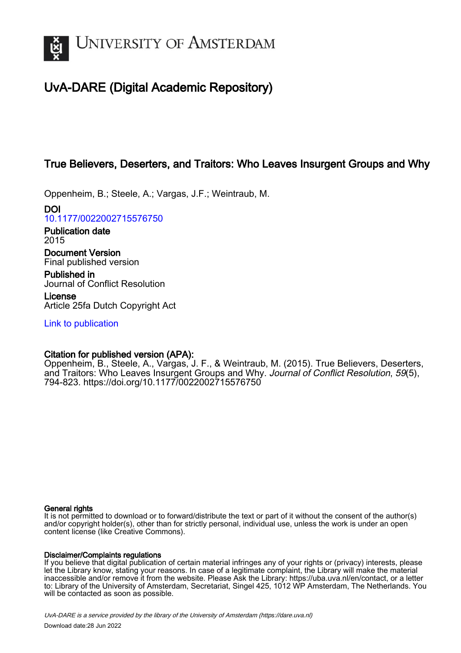

# UvA-DARE (Digital Academic Repository)

# True Believers, Deserters, and Traitors: Who Leaves Insurgent Groups and Why

Oppenheim, B.; Steele, A.; Vargas, J.F.; Weintraub, M.

DOI [10.1177/0022002715576750](https://doi.org/10.1177/0022002715576750)

Publication date 2015

Document Version Final published version

Published in Journal of Conflict Resolution

License Article 25fa Dutch Copyright Act

[Link to publication](https://dare.uva.nl/personal/pure/en/publications/true-believers-deserters-and-traitors-who-leaves-insurgent-groups-and-why(0711df13-a436-495f-a4a7-47aae961e500).html)

# Citation for published version (APA):

Oppenheim, B., Steele, A., Vargas, J. F., & Weintraub, M. (2015). True Believers, Deserters, and Traitors: Who Leaves Insurgent Groups and Why. Journal of Conflict Resolution, 59(5), 794-823. <https://doi.org/10.1177/0022002715576750>

## General rights

It is not permitted to download or to forward/distribute the text or part of it without the consent of the author(s) and/or copyright holder(s), other than for strictly personal, individual use, unless the work is under an open content license (like Creative Commons).

## Disclaimer/Complaints regulations

If you believe that digital publication of certain material infringes any of your rights or (privacy) interests, please let the Library know, stating your reasons. In case of a legitimate complaint, the Library will make the material inaccessible and/or remove it from the website. Please Ask the Library: https://uba.uva.nl/en/contact, or a letter to: Library of the University of Amsterdam, Secretariat, Singel 425, 1012 WP Amsterdam, The Netherlands. You will be contacted as soon as possible.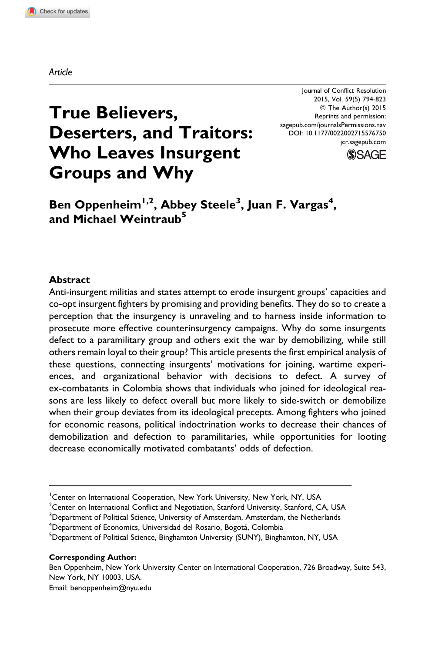Journal of Conflict Resolution 2015, Vol. 59(5) 794-823 ª The Author(s) 2015 Reprints and permission: [sagepub.com/journalsPermissions.nav](http://www.sagepub.com/journalsPermissions.nav) DOI: 10.1177/0022002715576750 [jcr.sagepub.com](http://jcr.sagepub.com)



# True Believers, Deserters, and Traitors: Who Leaves Insurgent Groups and Why

Ben Oppenheim<sup>1,2</sup>, Abbey Steele<sup>3</sup>, Juan F. Vargas<sup>4</sup>, and Michael Weintraub<sup>5</sup>

#### Abstract

Anti-insurgent militias and states attempt to erode insurgent groups' capacities and co-opt insurgent fighters by promising and providing benefits. They do so to create a perception that the insurgency is unraveling and to harness inside information to prosecute more effective counterinsurgency campaigns. Why do some insurgents defect to a paramilitary group and others exit the war by demobilizing, while still others remain loyal to their group? This article presents the first empirical analysis of these questions, connecting insurgents' motivations for joining, wartime experiences, and organizational behavior with decisions to defect. A survey of ex-combatants in Colombia shows that individuals who joined for ideological reasons are less likely to defect overall but more likely to side-switch or demobilize when their group deviates from its ideological precepts. Among fighters who joined for economic reasons, political indoctrination works to decrease their chances of demobilization and defection to paramilitaries, while opportunities for looting decrease economically motivated combatants' odds of defection.

 $^2$ Center on International Conflict and Negotiation, Stanford University, Stanford, CA, USA

<sup>3</sup>Department of Political Science, University of Amsterdam, Amsterdam, the Netherlands

<sup>4</sup>Department of Economics, Universidad del Rosario, Bogotá, Colombia<br><sup>5</sup>Department of Political Science, Binghamton University (SUNY), Bingh

<sup>5</sup>Department of Political Science, Binghamton University (SUNY), Binghamton, NY, USA

Corresponding Author:

Ben Oppenheim, New York University Center on International Cooperation, 726 Broadway, Suite 543, New York, NY 10003, USA. Email: benoppenheim@nyu.edu

<sup>&</sup>lt;sup>1</sup>Center on International Cooperation, New York University, New York, NY, USA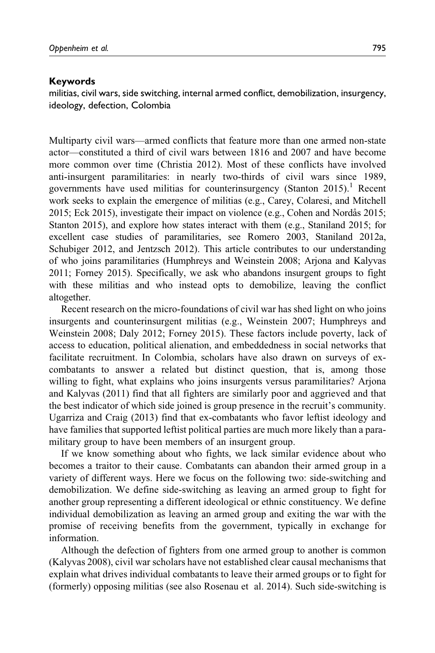#### Keywords

militias, civil wars, side switching, internal armed conflict, demobilization, insurgency, ideology, defection, Colombia

Multiparty civil wars—armed conflicts that feature more than one armed non-state actor—constituted a third of civil wars between 1816 and 2007 and have become more common over time (Christia 2012). Most of these conflicts have involved anti-insurgent paramilitaries: in nearly two-thirds of civil wars since 1989, governments have used militias for counterinsurgency (Stanton 2015).<sup>1</sup> Recent work seeks to explain the emergence of militias (e.g., Carey, Colaresi, and Mitchell 2015; Eck 2015), investigate their impact on violence (e.g., Cohen and Nordås 2015; Stanton 2015), and explore how states interact with them (e.g., Staniland 2015; for excellent case studies of paramilitaries, see Romero 2003, Staniland 2012a, Schubiger 2012, and Jentzsch 2012). This article contributes to our understanding of who joins paramilitaries (Humphreys and Weinstein 2008; Arjona and Kalyvas 2011; Forney 2015). Specifically, we ask who abandons insurgent groups to fight with these militias and who instead opts to demobilize, leaving the conflict altogether.

Recent research on the micro-foundations of civil war has shed light on who joins insurgents and counterinsurgent militias (e.g., Weinstein 2007; Humphreys and Weinstein 2008; Daly 2012; Forney 2015). These factors include poverty, lack of access to education, political alienation, and embeddedness in social networks that facilitate recruitment. In Colombia, scholars have also drawn on surveys of excombatants to answer a related but distinct question, that is, among those willing to fight, what explains who joins insurgents versus paramilitaries? Arjona and Kalyvas (2011) find that all fighters are similarly poor and aggrieved and that the best indicator of which side joined is group presence in the recruit's community. Ugarriza and Craig (2013) find that ex-combatants who favor leftist ideology and have families that supported leftist political parties are much more likely than a paramilitary group to have been members of an insurgent group.

If we know something about who fights, we lack similar evidence about who becomes a traitor to their cause. Combatants can abandon their armed group in a variety of different ways. Here we focus on the following two: side-switching and demobilization. We define side-switching as leaving an armed group to fight for another group representing a different ideological or ethnic constituency. We define individual demobilization as leaving an armed group and exiting the war with the promise of receiving benefits from the government, typically in exchange for information.

Although the defection of fighters from one armed group to another is common (Kalyvas 2008), civil war scholars have not established clear causal mechanisms that explain what drives individual combatants to leave their armed groups or to fight for (formerly) opposing militias (see also Rosenau et al. 2014). Such side-switching is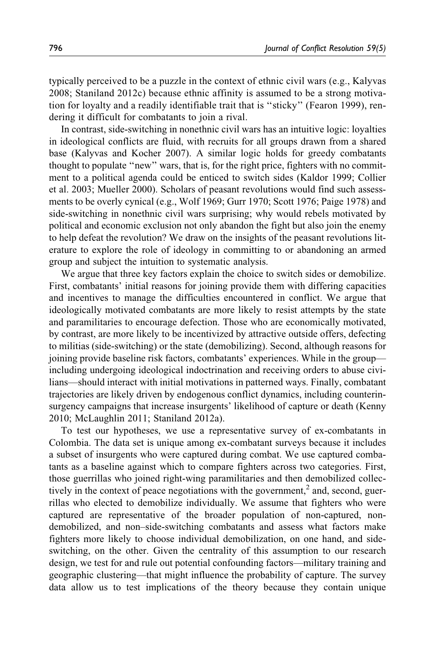typically perceived to be a puzzle in the context of ethnic civil wars (e.g., Kalyvas 2008; Staniland 2012c) because ethnic affinity is assumed to be a strong motivation for loyalty and a readily identifiable trait that is ''sticky'' (Fearon 1999), rendering it difficult for combatants to join a rival.

In contrast, side-switching in nonethnic civil wars has an intuitive logic: loyalties in ideological conflicts are fluid, with recruits for all groups drawn from a shared base (Kalyvas and Kocher 2007). A similar logic holds for greedy combatants thought to populate ''new'' wars, that is, for the right price, fighters with no commitment to a political agenda could be enticed to switch sides (Kaldor 1999; Collier et al. 2003; Mueller 2000). Scholars of peasant revolutions would find such assessments to be overly cynical (e.g., Wolf 1969; Gurr 1970; Scott 1976; Paige 1978) and side-switching in nonethnic civil wars surprising; why would rebels motivated by political and economic exclusion not only abandon the fight but also join the enemy to help defeat the revolution? We draw on the insights of the peasant revolutions literature to explore the role of ideology in committing to or abandoning an armed group and subject the intuition to systematic analysis.

We argue that three key factors explain the choice to switch sides or demobilize. First, combatants' initial reasons for joining provide them with differing capacities and incentives to manage the difficulties encountered in conflict. We argue that ideologically motivated combatants are more likely to resist attempts by the state and paramilitaries to encourage defection. Those who are economically motivated, by contrast, are more likely to be incentivized by attractive outside offers, defecting to militias (side-switching) or the state (demobilizing). Second, although reasons for joining provide baseline risk factors, combatants' experiences. While in the group including undergoing ideological indoctrination and receiving orders to abuse civilians—should interact with initial motivations in patterned ways. Finally, combatant trajectories are likely driven by endogenous conflict dynamics, including counterinsurgency campaigns that increase insurgents' likelihood of capture or death (Kenny 2010; McLaughlin 2011; Staniland 2012a).

To test our hypotheses, we use a representative survey of ex-combatants in Colombia. The data set is unique among ex-combatant surveys because it includes a subset of insurgents who were captured during combat. We use captured combatants as a baseline against which to compare fighters across two categories. First, those guerrillas who joined right-wing paramilitaries and then demobilized collectively in the context of peace negotiations with the government,<sup>2</sup> and, second, guerrillas who elected to demobilize individually. We assume that fighters who were captured are representative of the broader population of non-captured, nondemobilized, and non–side-switching combatants and assess what factors make fighters more likely to choose individual demobilization, on one hand, and sideswitching, on the other. Given the centrality of this assumption to our research design, we test for and rule out potential confounding factors—military training and geographic clustering—that might influence the probability of capture. The survey data allow us to test implications of the theory because they contain unique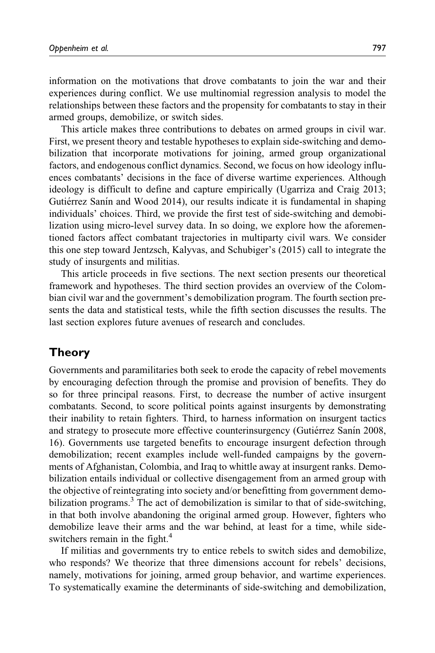information on the motivations that drove combatants to join the war and their experiences during conflict. We use multinomial regression analysis to model the relationships between these factors and the propensity for combatants to stay in their armed groups, demobilize, or switch sides.

This article makes three contributions to debates on armed groups in civil war. First, we present theory and testable hypotheses to explain side-switching and demobilization that incorporate motivations for joining, armed group organizational factors, and endogenous conflict dynamics. Second, we focus on how ideology influences combatants' decisions in the face of diverse wartime experiences. Although ideology is difficult to define and capture empirically (Ugarriza and Craig 2013; Gutiérrez Sanín and Wood 2014), our results indicate it is fundamental in shaping individuals' choices. Third, we provide the first test of side-switching and demobilization using micro-level survey data. In so doing, we explore how the aforementioned factors affect combatant trajectories in multiparty civil wars. We consider this one step toward Jentzsch, Kalyvas, and Schubiger's (2015) call to integrate the study of insurgents and militias.

This article proceeds in five sections. The next section presents our theoretical framework and hypotheses. The third section provides an overview of the Colombian civil war and the government's demobilization program. The fourth section presents the data and statistical tests, while the fifth section discusses the results. The last section explores future avenues of research and concludes.

## Theory

Governments and paramilitaries both seek to erode the capacity of rebel movements by encouraging defection through the promise and provision of benefits. They do so for three principal reasons. First, to decrease the number of active insurgent combatants. Second, to score political points against insurgents by demonstrating their inability to retain fighters. Third, to harness information on insurgent tactics and strategy to prosecute more effective counterinsurgency (Gutiérrez Sanín 2008, 16). Governments use targeted benefits to encourage insurgent defection through demobilization; recent examples include well-funded campaigns by the governments of Afghanistan, Colombia, and Iraq to whittle away at insurgent ranks. Demobilization entails individual or collective disengagement from an armed group with the objective of reintegrating into society and/or benefitting from government demobilization programs.<sup>3</sup> The act of demobilization is similar to that of side-switching, in that both involve abandoning the original armed group. However, fighters who demobilize leave their arms and the war behind, at least for a time, while sideswitchers remain in the fight.<sup>4</sup>

If militias and governments try to entice rebels to switch sides and demobilize, who responds? We theorize that three dimensions account for rebels' decisions, namely, motivations for joining, armed group behavior, and wartime experiences. To systematically examine the determinants of side-switching and demobilization,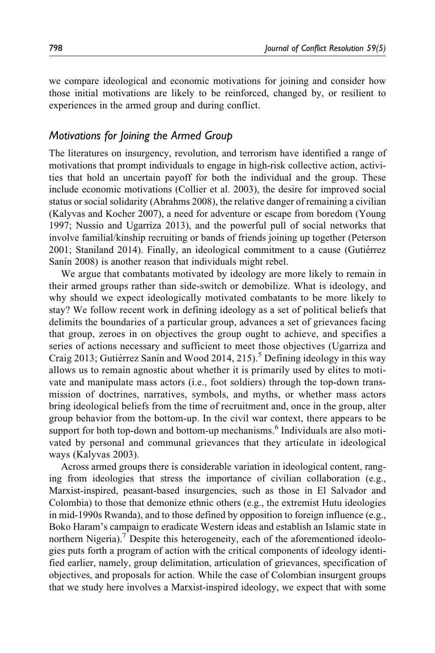we compare ideological and economic motivations for joining and consider how those initial motivations are likely to be reinforced, changed by, or resilient to experiences in the armed group and during conflict.

#### Motivations for Joining the Armed Group

The literatures on insurgency, revolution, and terrorism have identified a range of motivations that prompt individuals to engage in high-risk collective action, activities that hold an uncertain payoff for both the individual and the group. These include economic motivations (Collier et al. 2003), the desire for improved social status or social solidarity (Abrahms 2008), the relative danger of remaining a civilian (Kalyvas and Kocher 2007), a need for adventure or escape from boredom (Young 1997; Nussio and Ugarriza 2013), and the powerful pull of social networks that involve familial/kinship recruiting or bands of friends joining up together (Peterson 2001; Staniland 2014). Finally, an ideological commitment to a cause (Gutiérrez Sanin 2008) is another reason that individuals might rebel.

We argue that combatants motivated by ideology are more likely to remain in their armed groups rather than side-switch or demobilize. What is ideology, and why should we expect ideologically motivated combatants to be more likely to stay? We follow recent work in defining ideology as a set of political beliefs that delimits the boundaries of a particular group, advances a set of grievances facing that group, zeroes in on objectives the group ought to achieve, and specifies a series of actions necessary and sufficient to meet those objectives (Ugarriza and Craig 2013; Gutiérrez Sanín and Wood 2014, 215).<sup>5</sup> Defining ideology in this way allows us to remain agnostic about whether it is primarily used by elites to motivate and manipulate mass actors (i.e., foot soldiers) through the top-down transmission of doctrines, narratives, symbols, and myths, or whether mass actors bring ideological beliefs from the time of recruitment and, once in the group, alter group behavior from the bottom-up. In the civil war context, there appears to be support for both top-down and bottom-up mechanisms.<sup>6</sup> Individuals are also motivated by personal and communal grievances that they articulate in ideological ways (Kalyvas 2003).

Across armed groups there is considerable variation in ideological content, ranging from ideologies that stress the importance of civilian collaboration (e.g., Marxist-inspired, peasant-based insurgencies, such as those in El Salvador and Colombia) to those that demonize ethnic others (e.g., the extremist Hutu ideologies in mid-1990s Rwanda), and to those defined by opposition to foreign influence (e.g., Boko Haram's campaign to eradicate Western ideas and establish an Islamic state in northern Nigeria).<sup>7</sup> Despite this heterogeneity, each of the aforementioned ideologies puts forth a program of action with the critical components of ideology identified earlier, namely, group delimitation, articulation of grievances, specification of objectives, and proposals for action. While the case of Colombian insurgent groups that we study here involves a Marxist-inspired ideology, we expect that with some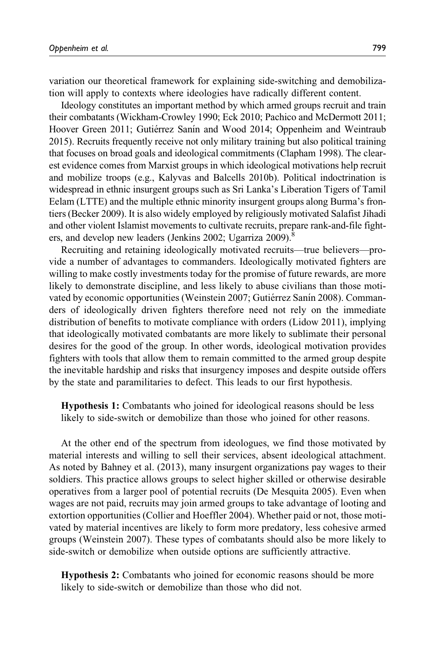variation our theoretical framework for explaining side-switching and demobilization will apply to contexts where ideologies have radically different content.

Ideology constitutes an important method by which armed groups recruit and train their combatants (Wickham-Crowley 1990; Eck 2010; Pachico and McDermott 2011; Hoover Green 2011; Gutiérrez Sanín and Wood 2014; Oppenheim and Weintraub 2015). Recruits frequently receive not only military training but also political training that focuses on broad goals and ideological commitments (Clapham 1998). The clearest evidence comes from Marxist groups in which ideological motivations help recruit and mobilize troops (e.g., Kalyvas and Balcells 2010b). Political indoctrination is widespread in ethnic insurgent groups such as Sri Lanka's Liberation Tigers of Tamil Eelam (LTTE) and the multiple ethnic minority insurgent groups along Burma's frontiers (Becker 2009). It is also widely employed by religiously motivated Salafist Jihadi and other violent Islamist movements to cultivate recruits, prepare rank-and-file fighters, and develop new leaders (Jenkins 2002; Ugarriza 2009).<sup>8</sup>

Recruiting and retaining ideologically motivated recruits—true believers—provide a number of advantages to commanders. Ideologically motivated fighters are willing to make costly investments today for the promise of future rewards, are more likely to demonstrate discipline, and less likely to abuse civilians than those motivated by economic opportunities (Weinstein 2007; Gutiérrez Sanín 2008). Commanders of ideologically driven fighters therefore need not rely on the immediate distribution of benefits to motivate compliance with orders (Lidow 2011), implying that ideologically motivated combatants are more likely to sublimate their personal desires for the good of the group. In other words, ideological motivation provides fighters with tools that allow them to remain committed to the armed group despite the inevitable hardship and risks that insurgency imposes and despite outside offers by the state and paramilitaries to defect. This leads to our first hypothesis.

Hypothesis 1: Combatants who joined for ideological reasons should be less likely to side-switch or demobilize than those who joined for other reasons.

At the other end of the spectrum from ideologues, we find those motivated by material interests and willing to sell their services, absent ideological attachment. As noted by Bahney et al. (2013), many insurgent organizations pay wages to their soldiers. This practice allows groups to select higher skilled or otherwise desirable operatives from a larger pool of potential recruits (De Mesquita 2005). Even when wages are not paid, recruits may join armed groups to take advantage of looting and extortion opportunities (Collier and Hoeffler 2004). Whether paid or not, those motivated by material incentives are likely to form more predatory, less cohesive armed groups (Weinstein 2007). These types of combatants should also be more likely to side-switch or demobilize when outside options are sufficiently attractive.

Hypothesis 2: Combatants who joined for economic reasons should be more likely to side-switch or demobilize than those who did not.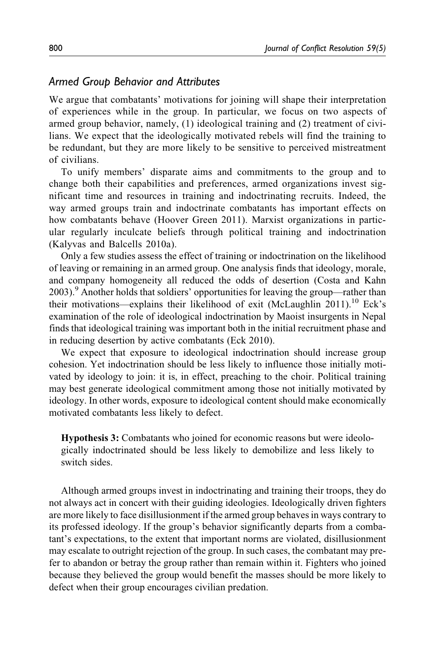## Armed Group Behavior and Attributes

We argue that combatants' motivations for joining will shape their interpretation of experiences while in the group. In particular, we focus on two aspects of armed group behavior, namely, (1) ideological training and (2) treatment of civilians. We expect that the ideologically motivated rebels will find the training to be redundant, but they are more likely to be sensitive to perceived mistreatment of civilians.

To unify members' disparate aims and commitments to the group and to change both their capabilities and preferences, armed organizations invest significant time and resources in training and indoctrinating recruits. Indeed, the way armed groups train and indoctrinate combatants has important effects on how combatants behave (Hoover Green 2011). Marxist organizations in particular regularly inculcate beliefs through political training and indoctrination (Kalyvas and Balcells 2010a).

Only a few studies assess the effect of training or indoctrination on the likelihood of leaving or remaining in an armed group. One analysis finds that ideology, morale, and company homogeneity all reduced the odds of desertion (Costa and Kahn 2003).<sup>9</sup> Another holds that soldiers' opportunities for leaving the group—rather than their motivations—explains their likelihood of exit (McLaughlin 2011).<sup>10</sup> Eck's examination of the role of ideological indoctrination by Maoist insurgents in Nepal finds that ideological training was important both in the initial recruitment phase and in reducing desertion by active combatants (Eck 2010).

We expect that exposure to ideological indoctrination should increase group cohesion. Yet indoctrination should be less likely to influence those initially motivated by ideology to join: it is, in effect, preaching to the choir. Political training may best generate ideological commitment among those not initially motivated by ideology. In other words, exposure to ideological content should make economically motivated combatants less likely to defect.

Hypothesis 3: Combatants who joined for economic reasons but were ideologically indoctrinated should be less likely to demobilize and less likely to switch sides.

Although armed groups invest in indoctrinating and training their troops, they do not always act in concert with their guiding ideologies. Ideologically driven fighters are more likely to face disillusionment if the armed group behaves in ways contrary to its professed ideology. If the group's behavior significantly departs from a combatant's expectations, to the extent that important norms are violated, disillusionment may escalate to outright rejection of the group. In such cases, the combatant may prefer to abandon or betray the group rather than remain within it. Fighters who joined because they believed the group would benefit the masses should be more likely to defect when their group encourages civilian predation.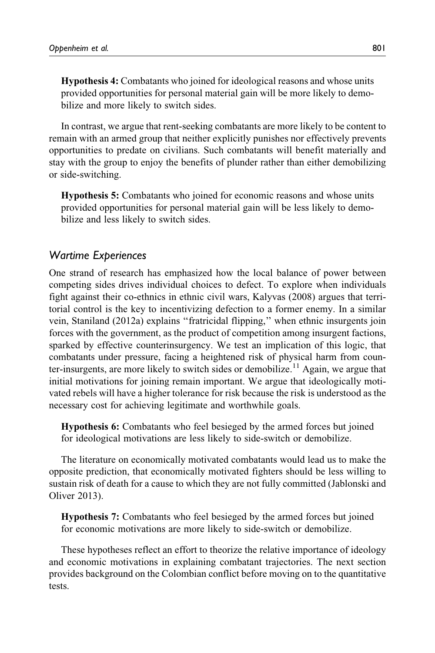Hypothesis 4: Combatants who joined for ideological reasons and whose units provided opportunities for personal material gain will be more likely to demobilize and more likely to switch sides.

In contrast, we argue that rent-seeking combatants are more likely to be content to remain with an armed group that neither explicitly punishes nor effectively prevents opportunities to predate on civilians. Such combatants will benefit materially and stay with the group to enjoy the benefits of plunder rather than either demobilizing or side-switching.

Hypothesis 5: Combatants who joined for economic reasons and whose units provided opportunities for personal material gain will be less likely to demobilize and less likely to switch sides.

#### Wartime Experiences

One strand of research has emphasized how the local balance of power between competing sides drives individual choices to defect. To explore when individuals fight against their co-ethnics in ethnic civil wars, Kalyvas (2008) argues that territorial control is the key to incentivizing defection to a former enemy. In a similar vein, Staniland (2012a) explains ''fratricidal flipping,'' when ethnic insurgents join forces with the government, as the product of competition among insurgent factions, sparked by effective counterinsurgency. We test an implication of this logic, that combatants under pressure, facing a heightened risk of physical harm from counter-insurgents, are more likely to switch sides or demobilize.<sup>11</sup> Again, we argue that initial motivations for joining remain important. We argue that ideologically motivated rebels will have a higher tolerance for risk because the risk is understood as the necessary cost for achieving legitimate and worthwhile goals.

Hypothesis 6: Combatants who feel besieged by the armed forces but joined for ideological motivations are less likely to side-switch or demobilize.

The literature on economically motivated combatants would lead us to make the opposite prediction, that economically motivated fighters should be less willing to sustain risk of death for a cause to which they are not fully committed (Jablonski and Oliver 2013).

Hypothesis 7: Combatants who feel besieged by the armed forces but joined for economic motivations are more likely to side-switch or demobilize.

These hypotheses reflect an effort to theorize the relative importance of ideology and economic motivations in explaining combatant trajectories. The next section provides background on the Colombian conflict before moving on to the quantitative tests.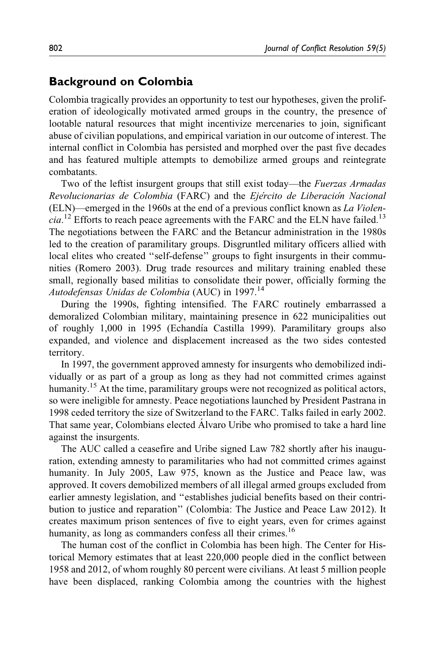## Background on Colombia

Colombia tragically provides an opportunity to test our hypotheses, given the proliferation of ideologically motivated armed groups in the country, the presence of lootable natural resources that might incentivize mercenaries to join, significant abuse of civilian populations, and empirical variation in our outcome of interest. The internal conflict in Colombia has persisted and morphed over the past five decades and has featured multiple attempts to demobilize armed groups and reintegrate combatants.

Two of the leftist insurgent groups that still exist today—the *Fuerzas Armadas* Revolucionarias de Colombia (FARC) and the Ejército de Liberación Nacional (ELN)—emerged in the 1960s at the end of a previous conflict known as La Violen $cia$ <sup>12</sup> Efforts to reach peace agreements with the FARC and the ELN have failed.<sup>13</sup> The negotiations between the FARC and the Betancur administration in the 1980s led to the creation of paramilitary groups. Disgruntled military officers allied with local elites who created "self-defense" groups to fight insurgents in their communities (Romero 2003). Drug trade resources and military training enabled these small, regionally based militias to consolidate their power, officially forming the Autodefensas Unidas de Colombia (AUC) in 1997.<sup>14</sup>

During the 1990s, fighting intensified. The FARC routinely embarrassed a demoralized Colombian military, maintaining presence in 622 municipalities out of roughly 1,000 in 1995 (Echandía Castilla 1999). Paramilitary groups also expanded, and violence and displacement increased as the two sides contested territory.

In 1997, the government approved amnesty for insurgents who demobilized individually or as part of a group as long as they had not committed crimes against humanity.<sup>15</sup> At the time, paramilitary groups were not recognized as political actors, so were ineligible for amnesty. Peace negotiations launched by President Pastrana in 1998 ceded territory the size of Switzerland to the FARC. Talks failed in early 2002. That same year, Colombians elected Alvaro Uribe who promised to take a hard line against the insurgents.

The AUC called a ceasefire and Uribe signed Law 782 shortly after his inauguration, extending amnesty to paramilitaries who had not committed crimes against humanity. In July 2005, Law 975, known as the Justice and Peace law, was approved. It covers demobilized members of all illegal armed groups excluded from earlier amnesty legislation, and ''establishes judicial benefits based on their contribution to justice and reparation'' (Colombia: The Justice and Peace Law 2012). It creates maximum prison sentences of five to eight years, even for crimes against humanity, as long as commanders confess all their crimes.<sup>16</sup>

The human cost of the conflict in Colombia has been high. The Center for Historical Memory estimates that at least 220,000 people died in the conflict between 1958 and 2012, of whom roughly 80 percent were civilians. At least 5 million people have been displaced, ranking Colombia among the countries with the highest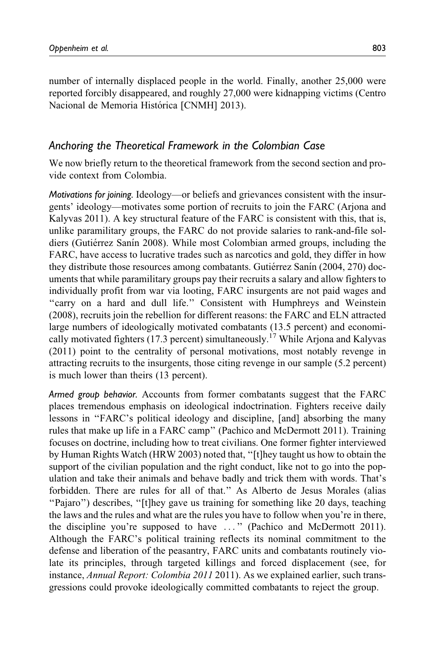number of internally displaced people in the world. Finally, another 25,000 were reported forcibly disappeared, and roughly 27,000 were kidnapping victims (Centro Nacional de Memoria Histórica [CNMH] 2013).

## Anchoring the Theoretical Framework in the Colombian Case

We now briefly return to the theoretical framework from the second section and provide context from Colombia.

Motivations for joining. Ideology—or beliefs and grievances consistent with the insurgents' ideology—motivates some portion of recruits to join the FARC (Arjona and Kalyvas 2011). A key structural feature of the FARC is consistent with this, that is, unlike paramilitary groups, the FARC do not provide salaries to rank-and-file soldiers (Gutiérrez Sanín 2008). While most Colombian armed groups, including the FARC, have access to lucrative trades such as narcotics and gold, they differ in how they distribute those resources among combatants. Gutiérrez Sanín (2004, 270) documents that while paramilitary groups pay their recruits a salary and allow fighters to individually profit from war via looting, FARC insurgents are not paid wages and ''carry on a hard and dull life.'' Consistent with Humphreys and Weinstein (2008), recruits join the rebellion for different reasons: the FARC and ELN attracted large numbers of ideologically motivated combatants (13.5 percent) and economically motivated fighters (17.3 percent) simultaneously.<sup>17</sup> While Arjona and Kalyvas (2011) point to the centrality of personal motivations, most notably revenge in attracting recruits to the insurgents, those citing revenge in our sample (5.2 percent) is much lower than theirs (13 percent).

Armed group behavior. Accounts from former combatants suggest that the FARC places tremendous emphasis on ideological indoctrination. Fighters receive daily lessons in ''FARC's political ideology and discipline, [and] absorbing the many rules that make up life in a FARC camp'' (Pachico and McDermott 2011). Training focuses on doctrine, including how to treat civilians. One former fighter interviewed by Human Rights Watch (HRW 2003) noted that, ''[t]hey taught us how to obtain the support of the civilian population and the right conduct, like not to go into the population and take their animals and behave badly and trick them with words. That's forbidden. There are rules for all of that.'' As Alberto de Jesus Morales (alias ''Pajaro'') describes, ''[t]hey gave us training for something like 20 days, teaching the laws and the rules and what are the rules you have to follow when you're in there, the discipline you're supposed to have ... '' (Pachico and McDermott 2011). Although the FARC's political training reflects its nominal commitment to the defense and liberation of the peasantry, FARC units and combatants routinely violate its principles, through targeted killings and forced displacement (see, for instance, Annual Report: Colombia 2011 2011). As we explained earlier, such transgressions could provoke ideologically committed combatants to reject the group.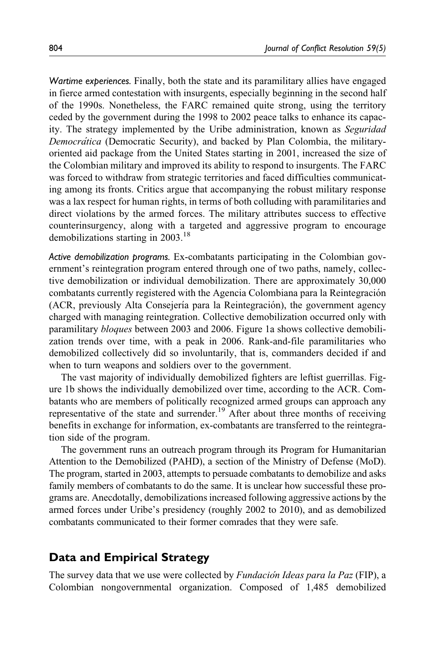Wartime experiences. Finally, both the state and its paramilitary allies have engaged in fierce armed contestation with insurgents, especially beginning in the second half of the 1990s. Nonetheless, the FARC remained quite strong, using the territory ceded by the government during the 1998 to 2002 peace talks to enhance its capacity. The strategy implemented by the Uribe administration, known as Seguridad Democrática (Democratic Security), and backed by Plan Colombia, the militaryoriented aid package from the United States starting in 2001, increased the size of the Colombian military and improved its ability to respond to insurgents. The FARC was forced to withdraw from strategic territories and faced difficulties communicating among its fronts. Critics argue that accompanying the robust military response was a lax respect for human rights, in terms of both colluding with paramilitaries and direct violations by the armed forces. The military attributes success to effective counterinsurgency, along with a targeted and aggressive program to encourage demobilizations starting in  $2003.<sup>18</sup>$ 

Active demobilization programs. Ex-combatants participating in the Colombian government's reintegration program entered through one of two paths, namely, collective demobilization or individual demobilization. There are approximately 30,000 combatants currently registered with the Agencia Colombiana para la Reintegración (ACR, previously Alta Consejería para la Reintegración), the government agency charged with managing reintegration. Collective demobilization occurred only with paramilitary bloques between 2003 and 2006. Figure 1a shows collective demobilization trends over time, with a peak in 2006. Rank-and-file paramilitaries who demobilized collectively did so involuntarily, that is, commanders decided if and when to turn weapons and soldiers over to the government.

The vast majority of individually demobilized fighters are leftist guerrillas. Figure 1b shows the individually demobilized over time, according to the ACR. Combatants who are members of politically recognized armed groups can approach any representative of the state and surrender.<sup>19</sup> After about three months of receiving benefits in exchange for information, ex-combatants are transferred to the reintegration side of the program.

The government runs an outreach program through its Program for Humanitarian Attention to the Demobilized (PAHD), a section of the Ministry of Defense (MoD). The program, started in 2003, attempts to persuade combatants to demobilize and asks family members of combatants to do the same. It is unclear how successful these programs are. Anecdotally, demobilizations increased following aggressive actions by the armed forces under Uribe's presidency (roughly 2002 to 2010), and as demobilized combatants communicated to their former comrades that they were safe.

# Data and Empirical Strategy

The survey data that we use were collected by Fundación Ideas para la Paz (FIP), a Colombian nongovernmental organization. Composed of 1,485 demobilized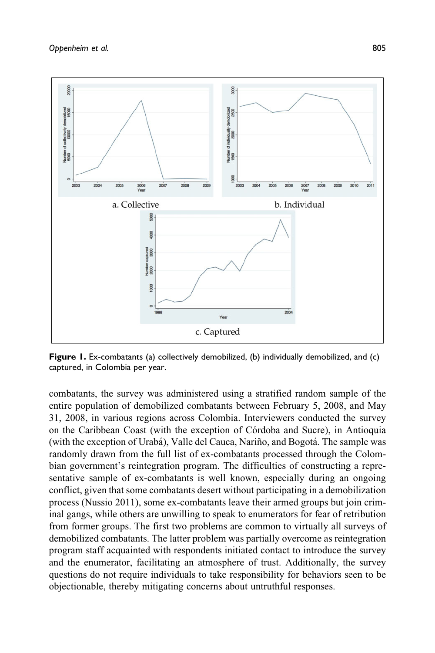

Figure 1. Ex-combatants (a) collectively demobilized, (b) individually demobilized, and (c) captured, in Colombia per year.

combatants, the survey was administered using a stratified random sample of the entire population of demobilized combatants between February 5, 2008, and May 31, 2008, in various regions across Colombia. Interviewers conducted the survey on the Caribbean Coast (with the exception of Córdoba and Sucre), in Antioquia (with the exception of Urabá), Valle del Cauca, Nariño, and Bogotá. The sample was randomly drawn from the full list of ex-combatants processed through the Colombian government's reintegration program. The difficulties of constructing a representative sample of ex-combatants is well known, especially during an ongoing conflict, given that some combatants desert without participating in a demobilization process (Nussio 2011), some ex-combatants leave their armed groups but join criminal gangs, while others are unwilling to speak to enumerators for fear of retribution from former groups. The first two problems are common to virtually all surveys of demobilized combatants. The latter problem was partially overcome as reintegration program staff acquainted with respondents initiated contact to introduce the survey and the enumerator, facilitating an atmosphere of trust. Additionally, the survey questions do not require individuals to take responsibility for behaviors seen to be objectionable, thereby mitigating concerns about untruthful responses.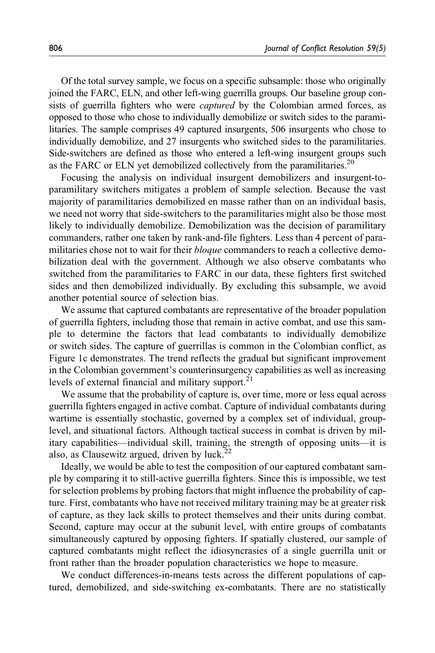Of the total survey sample, we focus on a specific subsample: those who originally joined the FARC, ELN, and other left-wing guerrilla groups. Our baseline group consists of guerrilla fighters who were captured by the Colombian armed forces, as opposed to those who chose to individually demobilize or switch sides to the paramilitaries. The sample comprises 49 captured insurgents, 506 insurgents who chose to individually demobilize, and 27 insurgents who switched sides to the paramilitaries. Side-switchers are defined as those who entered a left-wing insurgent groups such as the FARC or ELN yet demobilized collectively from the paramilitaries.<sup>20</sup>

Focusing the analysis on individual insurgent demobilizers and insurgent-toparamilitary switchers mitigates a problem of sample selection. Because the vast majority of paramilitaries demobilized en masse rather than on an individual basis, we need not worry that side-switchers to the paramilitaries might also be those most likely to individually demobilize. Demobilization was the decision of paramilitary commanders, rather one taken by rank-and-file fighters. Less than 4 percent of paramilitaries chose not to wait for their *bloque* commanders to reach a collective demobilization deal with the government. Although we also observe combatants who switched from the paramilitaries to FARC in our data, these fighters first switched sides and then demobilized individually. By excluding this subsample, we avoid another potential source of selection bias.

We assume that captured combatants are representative of the broader population of guerrilla fighters, including those that remain in active combat, and use this sample to determine the factors that lead combatants to individually demobilize or switch sides. The capture of guerrillas is common in the Colombian conflict, as Figure 1c demonstrates. The trend reflects the gradual but significant improvement in the Colombian government's counterinsurgency capabilities as well as increasing levels of external financial and military support. $21$ 

We assume that the probability of capture is, over time, more or less equal across guerrilla fighters engaged in active combat. Capture of individual combatants during wartime is essentially stochastic, governed by a complex set of individual, grouplevel, and situational factors. Although tactical success in combat is driven by military capabilities—individual skill, training, the strength of opposing units—it is also, as Clausewitz argued, driven by luck.<sup>22</sup>

Ideally, we would be able to test the composition of our captured combatant sample by comparing it to still-active guerrilla fighters. Since this is impossible, we test for selection problems by probing factors that might influence the probability of capture. First, combatants who have not received military training may be at greater risk of capture, as they lack skills to protect themselves and their units during combat. Second, capture may occur at the subunit level, with entire groups of combatants simultaneously captured by opposing fighters. If spatially clustered, our sample of captured combatants might reflect the idiosyncrasies of a single guerrilla unit or front rather than the broader population characteristics we hope to measure.

We conduct differences-in-means tests across the different populations of captured, demobilized, and side-switching ex-combatants. There are no statistically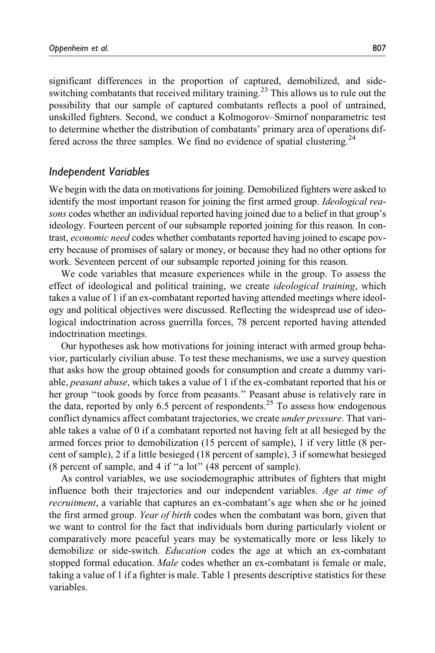significant differences in the proportion of captured, demobilized, and sideswitching combatants that received military training.<sup>23</sup> This allows us to rule out the possibility that our sample of captured combatants reflects a pool of untrained, unskilled fighters. Second, we conduct a Kolmogorov–Smirnof nonparametric test to determine whether the distribution of combatants' primary area of operations differed across the three samples. We find no evidence of spatial clustering.<sup>24</sup>

#### Independent Variables

We begin with the data on motivations for joining. Demobilized fighters were asked to identify the most important reason for joining the first armed group. *Ideological rea*sons codes whether an individual reported having joined due to a belief in that group's ideology. Fourteen percent of our subsample reported joining for this reason. In contrast, economic need codes whether combatants reported having joined to escape poverty because of promises of salary or money, or because they had no other options for work. Seventeen percent of our subsample reported joining for this reason.

We code variables that measure experiences while in the group. To assess the effect of ideological and political training, we create ideological training, which takes a value of 1 if an ex-combatant reported having attended meetings where ideology and political objectives were discussed. Reflecting the widespread use of ideological indoctrination across guerrilla forces, 78 percent reported having attended indoctrination meetings.

Our hypotheses ask how motivations for joining interact with armed group behavior, particularly civilian abuse. To test these mechanisms, we use a survey question that asks how the group obtained goods for consumption and create a dummy variable, *peasant abuse*, which takes a value of 1 if the ex-combatant reported that his or her group "took goods by force from peasants." Peasant abuse is relatively rare in the data, reported by only 6.5 percent of respondents.<sup>25</sup> To assess how endogenous conflict dynamics affect combatant trajectories, we create under pressure. That variable takes a value of 0 if a combatant reported not having felt at all besieged by the armed forces prior to demobilization (15 percent of sample), 1 if very little (8 percent of sample), 2 if a little besieged (18 percent of sample), 3 if somewhat besieged (8 percent of sample, and 4 if ''a lot'' (48 percent of sample).

As control variables, we use sociodemographic attributes of fighters that might influence both their trajectories and our independent variables. Age at time of recruitment, a variable that captures an ex-combatant's age when she or he joined the first armed group. Year of birth codes when the combatant was born, given that we want to control for the fact that individuals born during particularly violent or comparatively more peaceful years may be systematically more or less likely to demobilize or side-switch. *Education* codes the age at which an ex-combatant stopped formal education. *Male* codes whether an ex-combatant is female or male, taking a value of 1 if a fighter is male. Table 1 presents descriptive statistics for these variables.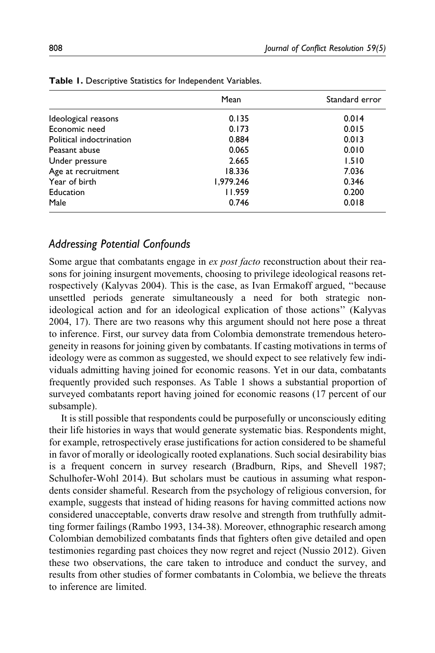|                          | Mean      | Standard error |
|--------------------------|-----------|----------------|
| Ideological reasons      | 0.135     | 0.014          |
| Economic need            | 0.173     | 0.015          |
| Political indoctrination | 0.884     | 0.013          |
| Peasant abuse            | 0.065     | 0.010          |
| Under pressure           | 2.665     | 1.510          |
| Age at recruitment       | 18.336    | 7.036          |
| Year of birth            | 1,979.246 | 0.346          |
| Education                | 11.959    | 0.200          |
| Male                     | 0.746     | 0.018          |

Table 1. Descriptive Statistics for Independent Variables.

#### Addressing Potential Confounds

Some argue that combatants engage in *ex post facto* reconstruction about their reasons for joining insurgent movements, choosing to privilege ideological reasons retrospectively (Kalyvas 2004). This is the case, as Ivan Ermakoff argued, ''because unsettled periods generate simultaneously a need for both strategic nonideological action and for an ideological explication of those actions'' (Kalyvas 2004, 17). There are two reasons why this argument should not here pose a threat to inference. First, our survey data from Colombia demonstrate tremendous heterogeneity in reasons for joining given by combatants. If casting motivations in terms of ideology were as common as suggested, we should expect to see relatively few individuals admitting having joined for economic reasons. Yet in our data, combatants frequently provided such responses. As Table 1 shows a substantial proportion of surveyed combatants report having joined for economic reasons (17 percent of our subsample).

It is still possible that respondents could be purposefully or unconsciously editing their life histories in ways that would generate systematic bias. Respondents might, for example, retrospectively erase justifications for action considered to be shameful in favor of morally or ideologically rooted explanations. Such social desirability bias is a frequent concern in survey research (Bradburn, Rips, and Shevell 1987; Schulhofer-Wohl 2014). But scholars must be cautious in assuming what respondents consider shameful. Research from the psychology of religious conversion, for example, suggests that instead of hiding reasons for having committed actions now considered unacceptable, converts draw resolve and strength from truthfully admitting former failings (Rambo 1993, 134-38). Moreover, ethnographic research among Colombian demobilized combatants finds that fighters often give detailed and open testimonies regarding past choices they now regret and reject (Nussio 2012). Given these two observations, the care taken to introduce and conduct the survey, and results from other studies of former combatants in Colombia, we believe the threats to inference are limited.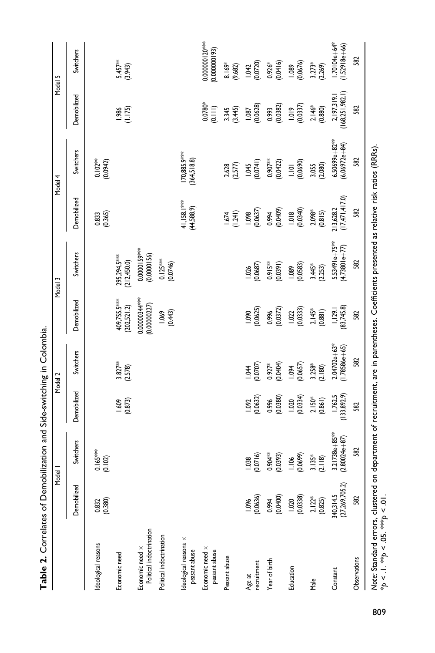|                                                                                                                                          |                             | Model I                                 |                        | Model 2                               |                                | Model 3                              |                               | Model 4                             | Model 5                           |                                |
|------------------------------------------------------------------------------------------------------------------------------------------|-----------------------------|-----------------------------------------|------------------------|---------------------------------------|--------------------------------|--------------------------------------|-------------------------------|-------------------------------------|-----------------------------------|--------------------------------|
|                                                                                                                                          | Demobilized                 | Switchers                               | Demobilized            | <b>Switchers</b>                      | Demobilized                    | Switchers                            | Demobilized                   | Switchers                           | Demobilized                       | Switchers                      |
| deological reasons                                                                                                                       | 0.832<br>(0.380)            | $0.165***$<br>(0.102)                   |                        |                                       |                                |                                      | 0.833<br>(0.365)              | $0.102**$<br>$(0.0942)$             |                                   |                                |
| Economic need                                                                                                                            |                             |                                         | (0.873)<br>1.609       | $3.827***$<br>(2.578)                 | 409,755.5****<br>(202,521.2)   | 295,294.5***<br>(212, 450.0)         |                               |                                     | $1.986$<br>$(1.175)$              | $5.457**$<br>(3.943)           |
| Political indoctrination<br>Economic need x                                                                                              |                             |                                         |                        |                                       | $0.00000344***$<br>(0.0000027) | 0.0000159***<br>(0.0000156)          |                               |                                     |                                   |                                |
| Political indoctrination                                                                                                                 |                             |                                         |                        |                                       | (0.443)<br>1.069               | $0.125***$<br>(0.0746)               |                               |                                     |                                   |                                |
| deological reasons x<br>peasant abuse                                                                                                    |                             |                                         |                        |                                       |                                |                                      | 41,158.1***<br>(44,588.9)     | 170,885.9***<br>(364, 518.8)        |                                   |                                |
| Economic need x<br>peasant abuse                                                                                                         |                             |                                         |                        |                                       |                                |                                      |                               |                                     | $0.0780*$<br>(0.111)              | 0.000000120***<br>(£6100000000 |
| Peasant abuse                                                                                                                            |                             |                                         |                        |                                       |                                |                                      | (1.241)<br>1.674              | 2.628                               | (3.445)<br>3.345                  | $8.169*$<br>(9.682)            |
| Age at<br>recruitment                                                                                                                    | (0.0636)<br>1.096           | (0.0716)<br>1.038                       | (0.0632)<br>1.092      | (0.0707)<br>$-1.04$                   | (0.0625)                       | (0.0687)<br>1.026                    | (0.0637)<br>1.098             | (0.0741)<br><b>1.045</b>            | (0.0628)<br>1.087                 | 1.042<br>(0.0720)              |
| Year of birth                                                                                                                            | 0.0400)                     | $0.904***$<br>(6850, 0)                 | (0.0380)<br>0.996      | (0.0404)<br>$0.927*$                  | (0.0372)<br>0.996              | $0.915**$<br>(0.0391)                | (0.0409)<br>0.994             | $0.907***$<br>(0.0422)              | (0.0382)<br>0.993                 | (0.0416)<br>$0.926*$           |
| Education                                                                                                                                | (0.0338)<br>1.020           | (0.0699)<br>1.106                       | (0.0334)<br>1.020      | (0.0657)<br>1.094                     | (0.0333)<br>1.022              | (0.0583)<br>1.089                    | (0.0340)<br>1.018             | (0.0690)<br>$\overline{a}$          | (0.0337)<br>1.019                 | (0.0676)<br>1.089              |
| Male                                                                                                                                     | $2.122*$<br>(0.825)         | $3.135*$<br>(2.118)                     | $2.150*$<br>(0.861)    | $3.258$ <sup>*</sup><br>(2.180)       | $2.145*$<br>(0.881)            | $3.445*$<br>(2.253)                  | $2.098*$<br>(0.815)           | (2.080)<br>3.055                    | 2.146*<br>(0.880)                 | $3.273*$<br>(2.269)            |
| Constant                                                                                                                                 | 340,314.5<br>(27,269,705.2) | $3.21738e + 85***$<br>$(2.80024e + 87)$ | 1,762.5<br>(133,892.9) | $2.04702e + 63*$<br>$(1.78586e + 65)$ | (83, 745.8)<br>1,129.1         | $5.53491e+75**$<br>$(4.73801e + 77)$ | (17, 471, 417.0)<br>213,628.2 | $6.50699e + 82***$<br>(6.06972e+84) | 2, 197,319.1<br>(168, 251, 982.1) | 1.70104e+64*<br>$1.52918e+66$  |
| Observations                                                                                                                             | 582                         | 582                                     | 582                    | 582                                   | 582                            | 582                                  | 582                           | 582                                 | 582                               | 582                            |
| Note: Standard errors, clustered on department of recruitment, are in parentheses. Coefficients presented as relative risk ratios (RRRs) |                             |                                         |                        |                                       |                                |                                      |                               |                                     |                                   |                                |

Table 2. Correlates of Demobilization and Side-switching in Colombia. Table 2. Correlates of Demobilization and Side-switching in Colombia.

\*p < .1. \*\*p < .05. \*\*\*p < .01.

\*p < .1. \*\*p < .05. \*\*p < .01.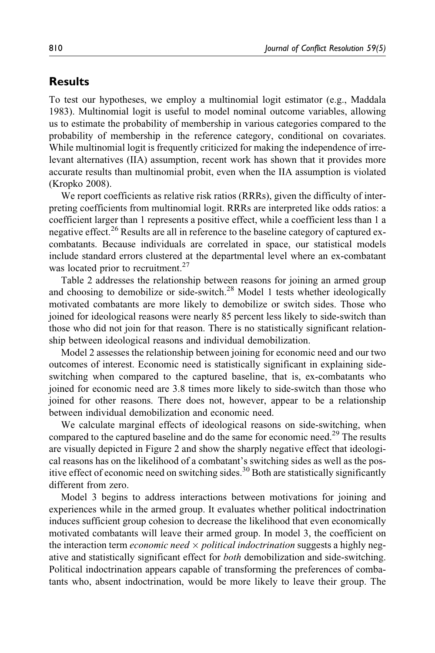# **Results**

To test our hypotheses, we employ a multinomial logit estimator (e.g., Maddala 1983). Multinomial logit is useful to model nominal outcome variables, allowing us to estimate the probability of membership in various categories compared to the probability of membership in the reference category, conditional on covariates. While multinomial logit is frequently criticized for making the independence of irrelevant alternatives (IIA) assumption, recent work has shown that it provides more accurate results than multinomial probit, even when the IIA assumption is violated (Kropko 2008).

We report coefficients as relative risk ratios (RRRs), given the difficulty of interpreting coefficients from multinomial logit. RRRs are interpreted like odds ratios: a coefficient larger than 1 represents a positive effect, while a coefficient less than 1 a negative effect.<sup>26</sup> Results are all in reference to the baseline category of captured excombatants. Because individuals are correlated in space, our statistical models include standard errors clustered at the departmental level where an ex-combatant was located prior to recruitment.<sup>27</sup>

Table 2 addresses the relationship between reasons for joining an armed group and choosing to demobilize or side-switch.<sup>28</sup> Model 1 tests whether ideologically motivated combatants are more likely to demobilize or switch sides. Those who joined for ideological reasons were nearly 85 percent less likely to side-switch than those who did not join for that reason. There is no statistically significant relationship between ideological reasons and individual demobilization.

Model 2 assesses the relationship between joining for economic need and our two outcomes of interest. Economic need is statistically significant in explaining sideswitching when compared to the captured baseline, that is, ex-combatants who joined for economic need are 3.8 times more likely to side-switch than those who joined for other reasons. There does not, however, appear to be a relationship between individual demobilization and economic need.

We calculate marginal effects of ideological reasons on side-switching, when compared to the captured baseline and do the same for economic need.<sup>29</sup> The results are visually depicted in Figure 2 and show the sharply negative effect that ideological reasons has on the likelihood of a combatant's switching sides as well as the positive effect of economic need on switching sides.<sup>30</sup> Both are statistically significantly different from zero.

Model 3 begins to address interactions between motivations for joining and experiences while in the armed group. It evaluates whether political indoctrination induces sufficient group cohesion to decrease the likelihood that even economically motivated combatants will leave their armed group. In model 3, the coefficient on the interaction term *economic need*  $\times$  *political indoctrination* suggests a highly negative and statistically significant effect for both demobilization and side-switching. Political indoctrination appears capable of transforming the preferences of combatants who, absent indoctrination, would be more likely to leave their group. The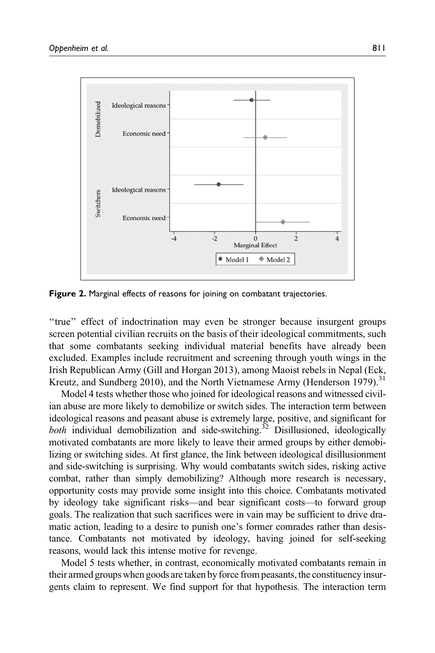

Figure 2. Marginal effects of reasons for joining on combatant trajectories.

"true" effect of indoctrination may even be stronger because insurgent groups screen potential civilian recruits on the basis of their ideological commitments, such that some combatants seeking individual material benefits have already been excluded. Examples include recruitment and screening through youth wings in the Irish Republican Army (Gill and Horgan 2013), among Maoist rebels in Nepal (Eck, Kreutz, and Sundberg 2010), and the North Vietnamese Army (Henderson 1979).<sup>31</sup>

Model 4 tests whether those who joined for ideological reasons and witnessed civilian abuse are more likely to demobilize or switch sides. The interaction term between ideological reasons and peasant abuse is extremely large, positive, and significant for *both* individual demobilization and side-switching.<sup>32</sup> Disillusioned, ideologically motivated combatants are more likely to leave their armed groups by either demobilizing or switching sides. At first glance, the link between ideological disillusionment and side-switching is surprising. Why would combatants switch sides, risking active combat, rather than simply demobilizing? Although more research is necessary, opportunity costs may provide some insight into this choice. Combatants motivated by ideology take significant risks—and bear significant costs—to forward group goals. The realization that such sacrifices were in vain may be sufficient to drive dramatic action, leading to a desire to punish one's former comrades rather than desistance. Combatants not motivated by ideology, having joined for self-seeking reasons, would lack this intense motive for revenge.

Model 5 tests whether, in contrast, economically motivated combatants remain in their armed groups when goods are taken by force from peasants, the constituency insurgents claim to represent. We find support for that hypothesis. The interaction term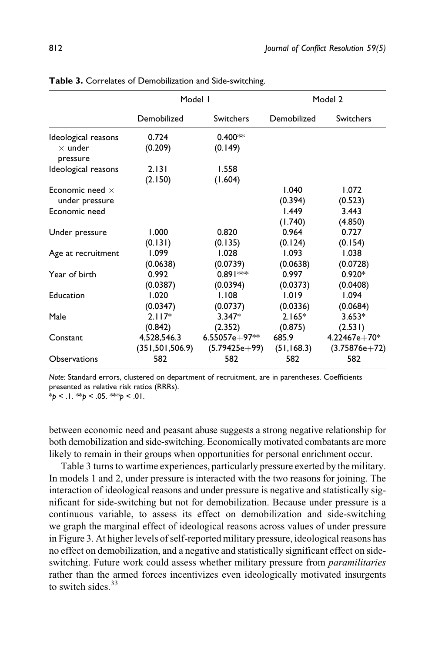|                            | Model I           |                 | Model 2     |                  |
|----------------------------|-------------------|-----------------|-------------|------------------|
|                            | Demobilized       | Switchers       | Demobilized | <b>Switchers</b> |
| Ideological reasons        | 0.724             | $0.400**$       |             |                  |
| $\times$ under<br>pressure | (0.209)           | (0.149)         |             |                  |
| Ideological reasons        | 2.131             | 1.558           |             |                  |
|                            | (2.150)           | (1.604)         |             |                  |
| Economic need $\times$     |                   |                 | 1.040       | 1.072            |
| under pressure             |                   |                 | (0.394)     | (0.523)          |
| Economic need              |                   |                 | 1.449       | 3.443            |
|                            |                   |                 | (1.740)     | (4.850)          |
| Under pressure             | 1.000             | 0.820           | 0.964       | 0.727            |
|                            | (0.131)           | (0.135)         | (0.124)     | (0.154)          |
| Age at recruitment         | 1.099             | 1.028           | 1.093       | 1.038            |
|                            | (0.0638)          | (0.0739)        | (0.0638)    | (0.0728)         |
| Year of birth              | 0.992             | $0.891***$      | 0.997       | $0.920*$         |
|                            | (0.0387)          | (0.0394)        | (0.0373)    | (0.0408)         |
| Education                  | 1.020             | 1.108           | 1.019       | 1.094            |
|                            | (0.0347)          | (0.0737)        | (0.0336)    | (0.0684)         |
| Male                       | $2.117*$          | $3.347*$        | $2.165*$    | $3.653*$         |
|                            | (0.842)           | (2.352)         | (0.875)     | (2.531)          |
| Constant                   | 4,528,546.3       | $6.55057e+97**$ | 685.9       | $4.22467e+70*$   |
|                            | (351, 501, 506.9) | (5.79425e+99)   | (51, 168.3) | $(3.75876e+72)$  |
| <b>Observations</b>        | 582               | 582             | 582         | 582              |

Table 3. Correlates of Demobilization and Side-switching.

Note: Standard errors, clustered on department of recruitment, are in parentheses. Coefficients presented as relative risk ratios (RRRs).

 $*_p$  < .1.  $*_p$  < .05.  $*_p$  < .01.

between economic need and peasant abuse suggests a strong negative relationship for both demobilization and side-switching. Economically motivated combatants are more likely to remain in their groups when opportunities for personal enrichment occur.

Table 3 turns to wartime experiences, particularly pressure exerted by the military. In models 1 and 2, under pressure is interacted with the two reasons for joining. The interaction of ideological reasons and under pressure is negative and statistically significant for side-switching but not for demobilization. Because under pressure is a continuous variable, to assess its effect on demobilization and side-switching we graph the marginal effect of ideological reasons across values of under pressure in Figure 3. At higher levels of self-reported military pressure, ideological reasons has no effect on demobilization, and a negative and statistically significant effect on sideswitching. Future work could assess whether military pressure from *paramilitaries* rather than the armed forces incentivizes even ideologically motivated insurgents to switch sides.<sup>33</sup>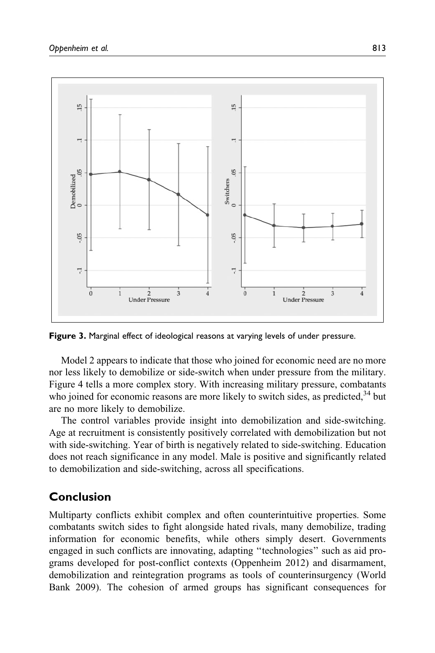

Figure 3. Marginal effect of ideological reasons at varying levels of under pressure.

Model 2 appears to indicate that those who joined for economic need are no more nor less likely to demobilize or side-switch when under pressure from the military. Figure 4 tells a more complex story. With increasing military pressure, combatants who joined for economic reasons are more likely to switch sides, as predicted,  $34$  but are no more likely to demobilize.

The control variables provide insight into demobilization and side-switching. Age at recruitment is consistently positively correlated with demobilization but not with side-switching. Year of birth is negatively related to side-switching. Education does not reach significance in any model. Male is positive and significantly related to demobilization and side-switching, across all specifications.

# Conclusion

Multiparty conflicts exhibit complex and often counterintuitive properties. Some combatants switch sides to fight alongside hated rivals, many demobilize, trading information for economic benefits, while others simply desert. Governments engaged in such conflicts are innovating, adapting ''technologies'' such as aid programs developed for post-conflict contexts (Oppenheim 2012) and disarmament, demobilization and reintegration programs as tools of counterinsurgency (World Bank 2009). The cohesion of armed groups has significant consequences for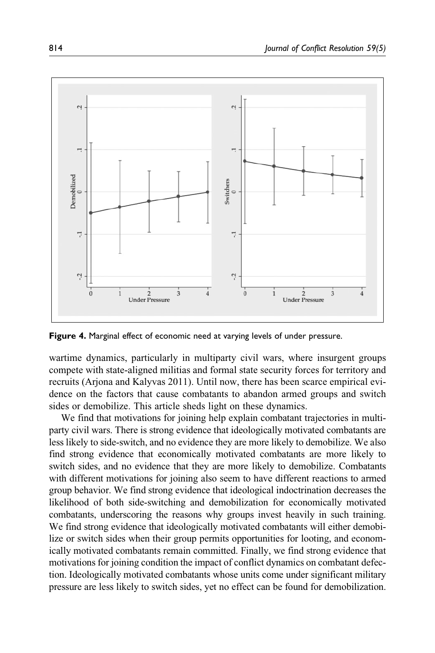

Figure 4. Marginal effect of economic need at varying levels of under pressure.

wartime dynamics, particularly in multiparty civil wars, where insurgent groups compete with state-aligned militias and formal state security forces for territory and recruits (Arjona and Kalyvas 2011). Until now, there has been scarce empirical evidence on the factors that cause combatants to abandon armed groups and switch sides or demobilize. This article sheds light on these dynamics.

We find that motivations for joining help explain combatant trajectories in multiparty civil wars. There is strong evidence that ideologically motivated combatants are less likely to side-switch, and no evidence they are more likely to demobilize. We also find strong evidence that economically motivated combatants are more likely to switch sides, and no evidence that they are more likely to demobilize. Combatants with different motivations for joining also seem to have different reactions to armed group behavior. We find strong evidence that ideological indoctrination decreases the likelihood of both side-switching and demobilization for economically motivated combatants, underscoring the reasons why groups invest heavily in such training. We find strong evidence that ideologically motivated combatants will either demobilize or switch sides when their group permits opportunities for looting, and economically motivated combatants remain committed. Finally, we find strong evidence that motivations for joining condition the impact of conflict dynamics on combatant defection. Ideologically motivated combatants whose units come under significant military pressure are less likely to switch sides, yet no effect can be found for demobilization.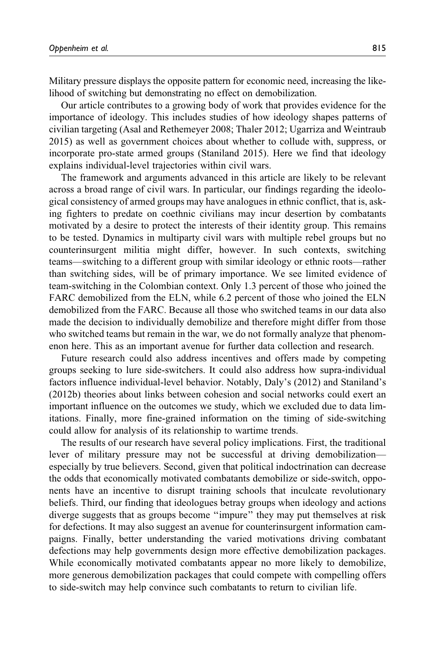Military pressure displays the opposite pattern for economic need, increasing the likelihood of switching but demonstrating no effect on demobilization.

Our article contributes to a growing body of work that provides evidence for the importance of ideology. This includes studies of how ideology shapes patterns of civilian targeting (Asal and Rethemeyer 2008; Thaler 2012; Ugarriza and Weintraub 2015) as well as government choices about whether to collude with, suppress, or incorporate pro-state armed groups (Staniland 2015). Here we find that ideology explains individual-level trajectories within civil wars.

The framework and arguments advanced in this article are likely to be relevant across a broad range of civil wars. In particular, our findings regarding the ideological consistency of armed groups may have analogues in ethnic conflict, that is, asking fighters to predate on coethnic civilians may incur desertion by combatants motivated by a desire to protect the interests of their identity group. This remains to be tested. Dynamics in multiparty civil wars with multiple rebel groups but no counterinsurgent militia might differ, however. In such contexts, switching teams—switching to a different group with similar ideology or ethnic roots—rather than switching sides, will be of primary importance. We see limited evidence of team-switching in the Colombian context. Only 1.3 percent of those who joined the FARC demobilized from the ELN, while 6.2 percent of those who joined the ELN demobilized from the FARC. Because all those who switched teams in our data also made the decision to individually demobilize and therefore might differ from those who switched teams but remain in the war, we do not formally analyze that phenomenon here. This as an important avenue for further data collection and research.

Future research could also address incentives and offers made by competing groups seeking to lure side-switchers. It could also address how supra-individual factors influence individual-level behavior. Notably, Daly's (2012) and Staniland's (2012b) theories about links between cohesion and social networks could exert an important influence on the outcomes we study, which we excluded due to data limitations. Finally, more fine-grained information on the timing of side-switching could allow for analysis of its relationship to wartime trends.

The results of our research have several policy implications. First, the traditional lever of military pressure may not be successful at driving demobilization especially by true believers. Second, given that political indoctrination can decrease the odds that economically motivated combatants demobilize or side-switch, opponents have an incentive to disrupt training schools that inculcate revolutionary beliefs. Third, our finding that ideologues betray groups when ideology and actions diverge suggests that as groups become ''impure'' they may put themselves at risk for defections. It may also suggest an avenue for counterinsurgent information campaigns. Finally, better understanding the varied motivations driving combatant defections may help governments design more effective demobilization packages. While economically motivated combatants appear no more likely to demobilize, more generous demobilization packages that could compete with compelling offers to side-switch may help convince such combatants to return to civilian life.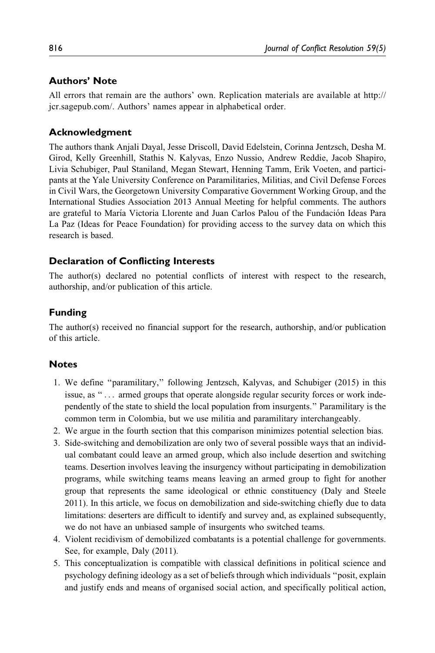#### Authors' Note

All errors that remain are the authors' own. Replication materials are available at [http://](http://jcr.sagepub.com/) [jcr.sagepub.com/.](http://jcr.sagepub.com/) Authors' names appear in alphabetical order.

#### Acknowledgment

The authors thank Anjali Dayal, Jesse Driscoll, David Edelstein, Corinna Jentzsch, Desha M. Girod, Kelly Greenhill, Stathis N. Kalyvas, Enzo Nussio, Andrew Reddie, Jacob Shapiro, Livia Schubiger, Paul Staniland, Megan Stewart, Henning Tamm, Erik Voeten, and participants at the Yale University Conference on Paramilitaries, Militias, and Civil Defense Forces in Civil Wars, the Georgetown University Comparative Government Working Group, and the International Studies Association 2013 Annual Meeting for helpful comments. The authors are grateful to María Victoria Llorente and Juan Carlos Palou of the Fundación Ideas Para La Paz (Ideas for Peace Foundation) for providing access to the survey data on which this research is based.

#### Declaration of Conflicting Interests

The author(s) declared no potential conflicts of interest with respect to the research, authorship, and/or publication of this article.

#### Funding

The author(s) received no financial support for the research, authorship, and/or publication of this article.

#### **Notes**

- 1. We define ''paramilitary,'' following Jentzsch, Kalyvas, and Schubiger (2015) in this issue, as "... armed groups that operate alongside regular security forces or work independently of the state to shield the local population from insurgents.'' Paramilitary is the common term in Colombia, but we use militia and paramilitary interchangeably.
- 2. We argue in the fourth section that this comparison minimizes potential selection bias.
- 3. Side-switching and demobilization are only two of several possible ways that an individual combatant could leave an armed group, which also include desertion and switching teams. Desertion involves leaving the insurgency without participating in demobilization programs, while switching teams means leaving an armed group to fight for another group that represents the same ideological or ethnic constituency (Daly and Steele 2011). In this article, we focus on demobilization and side-switching chiefly due to data limitations: deserters are difficult to identify and survey and, as explained subsequently, we do not have an unbiased sample of insurgents who switched teams.
- 4. Violent recidivism of demobilized combatants is a potential challenge for governments. See, for example, Daly (2011).
- 5. This conceptualization is compatible with classical definitions in political science and psychology defining ideology as a set of beliefs through which individuals ''posit, explain and justify ends and means of organised social action, and specifically political action,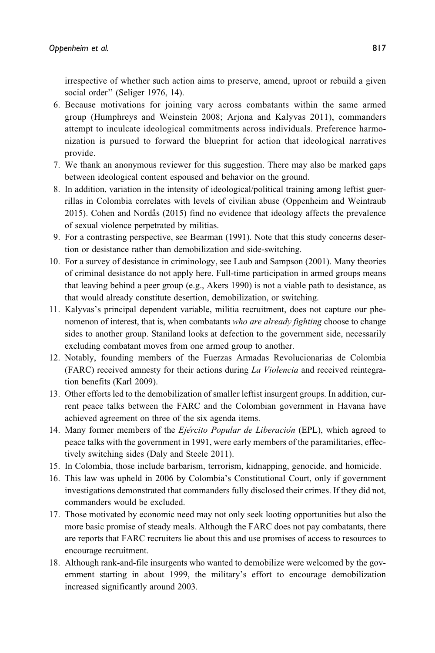irrespective of whether such action aims to preserve, amend, uproot or rebuild a given social order" (Seliger 1976, 14).

- 6. Because motivations for joining vary across combatants within the same armed group (Humphreys and Weinstein 2008; Arjona and Kalyvas 2011), commanders attempt to inculcate ideological commitments across individuals. Preference harmonization is pursued to forward the blueprint for action that ideological narratives provide.
- 7. We thank an anonymous reviewer for this suggestion. There may also be marked gaps between ideological content espoused and behavior on the ground.
- 8. In addition, variation in the intensity of ideological/political training among leftist guerrillas in Colombia correlates with levels of civilian abuse (Oppenheim and Weintraub 2015). Cohen and Nordås (2015) find no evidence that ideology affects the prevalence of sexual violence perpetrated by militias.
- 9. For a contrasting perspective, see Bearman (1991). Note that this study concerns desertion or desistance rather than demobilization and side-switching.
- 10. For a survey of desistance in criminology, see Laub and Sampson (2001). Many theories of criminal desistance do not apply here. Full-time participation in armed groups means that leaving behind a peer group (e.g., Akers 1990) is not a viable path to desistance, as that would already constitute desertion, demobilization, or switching.
- 11. Kalyvas's principal dependent variable, militia recruitment, does not capture our phenomenon of interest, that is, when combatants who are already fighting choose to change sides to another group. Staniland looks at defection to the government side, necessarily excluding combatant moves from one armed group to another.
- 12. Notably, founding members of the Fuerzas Armadas Revolucionarias de Colombia (FARC) received amnesty for their actions during La Violencia and received reintegration benefits (Karl 2009).
- 13. Other efforts led to the demobilization of smaller leftist insurgent groups. In addition, current peace talks between the FARC and the Colombian government in Havana have achieved agreement on three of the six agenda items.
- 14. Many former members of the *Ejército Popular de Liberación* (EPL), which agreed to peace talks with the government in 1991, were early members of the paramilitaries, effectively switching sides (Daly and Steele 2011).
- 15. In Colombia, those include barbarism, terrorism, kidnapping, genocide, and homicide.
- 16. This law was upheld in 2006 by Colombia's Constitutional Court, only if government investigations demonstrated that commanders fully disclosed their crimes. If they did not, commanders would be excluded.
- 17. Those motivated by economic need may not only seek looting opportunities but also the more basic promise of steady meals. Although the FARC does not pay combatants, there are reports that FARC recruiters lie about this and use promises of access to resources to encourage recruitment.
- 18. Although rank-and-file insurgents who wanted to demobilize were welcomed by the government starting in about 1999, the military's effort to encourage demobilization increased significantly around 2003.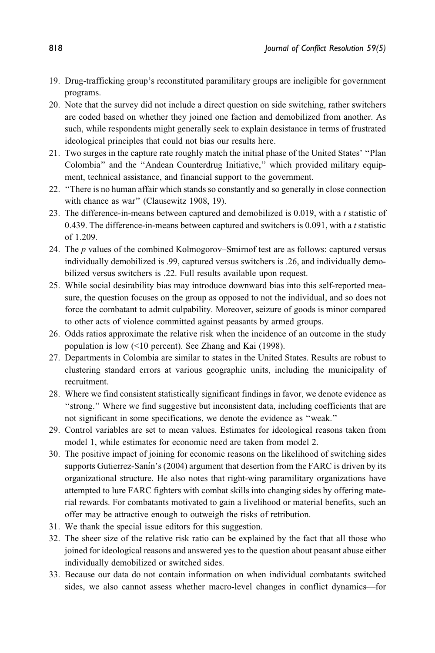- 19. Drug-trafficking group's reconstituted paramilitary groups are ineligible for government programs.
- 20. Note that the survey did not include a direct question on side switching, rather switchers are coded based on whether they joined one faction and demobilized from another. As such, while respondents might generally seek to explain desistance in terms of frustrated ideological principles that could not bias our results here.
- 21. Two surges in the capture rate roughly match the initial phase of the United States' ''Plan Colombia'' and the ''Andean Counterdrug Initiative,'' which provided military equipment, technical assistance, and financial support to the government.
- 22. ''There is no human affair which stands so constantly and so generally in close connection with chance as war" (Clausewitz 1908, 19).
- 23. The difference-in-means between captured and demobilized is 0.019, with a  $t$  statistic of 0.439. The difference-in-means between captured and switchers is  $0.091$ , with a t statistic of 1.209.
- 24. The p values of the combined Kolmogorov–Smirnof test are as follows: captured versus individually demobilized is .99, captured versus switchers is .26, and individually demobilized versus switchers is .22. Full results available upon request.
- 25. While social desirability bias may introduce downward bias into this self-reported measure, the question focuses on the group as opposed to not the individual, and so does not force the combatant to admit culpability. Moreover, seizure of goods is minor compared to other acts of violence committed against peasants by armed groups.
- 26. Odds ratios approximate the relative risk when the incidence of an outcome in the study population is low (<10 percent). See Zhang and Kai (1998).
- 27. Departments in Colombia are similar to states in the United States. Results are robust to clustering standard errors at various geographic units, including the municipality of recruitment.
- 28. Where we find consistent statistically significant findings in favor, we denote evidence as ''strong.'' Where we find suggestive but inconsistent data, including coefficients that are not significant in some specifications, we denote the evidence as ''weak.''
- 29. Control variables are set to mean values. Estimates for ideological reasons taken from model 1, while estimates for economic need are taken from model 2.
- 30. The positive impact of joining for economic reasons on the likelihood of switching sides supports Gutierrez-Sanín's (2004) argument that desertion from the FARC is driven by its organizational structure. He also notes that right-wing paramilitary organizations have attempted to lure FARC fighters with combat skills into changing sides by offering material rewards. For combatants motivated to gain a livelihood or material benefits, such an offer may be attractive enough to outweigh the risks of retribution.
- 31. We thank the special issue editors for this suggestion.
- 32. The sheer size of the relative risk ratio can be explained by the fact that all those who joined for ideological reasons and answered yes to the question about peasant abuse either individually demobilized or switched sides.
- 33. Because our data do not contain information on when individual combatants switched sides, we also cannot assess whether macro-level changes in conflict dynamics—for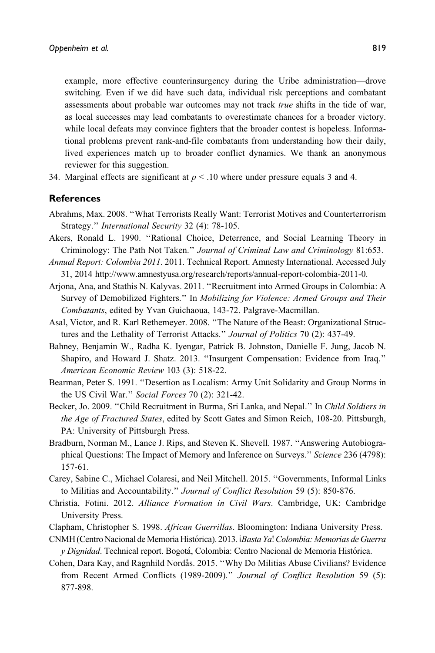example, more effective counterinsurgency during the Uribe administration—drove switching. Even if we did have such data, individual risk perceptions and combatant assessments about probable war outcomes may not track true shifts in the tide of war, as local successes may lead combatants to overestimate chances for a broader victory. while local defeats may convince fighters that the broader contest is hopeless. Informational problems prevent rank-and-file combatants from understanding how their daily, lived experiences match up to broader conflict dynamics. We thank an anonymous reviewer for this suggestion.

34. Marginal effects are significant at  $p < 0.10$  where under pressure equals 3 and 4.

#### References

- Abrahms, Max. 2008. ''What Terrorists Really Want: Terrorist Motives and Counterterrorism Strategy.'' International Security 32 (4): 78-105.
- Akers, Ronald L. 1990. ''Rational Choice, Deterrence, and Social Learning Theory in Criminology: The Path Not Taken.'' Journal of Criminal Law and Criminology 81:653.
- Annual Report: Colombia 2011. 2011. Technical Report. Amnesty International. Accessed July 31, 2014<http://www.amnestyusa.org/research/reports/annual-report-colombia-2011-0>.
- Arjona, Ana, and Stathis N. Kalyvas. 2011. ''Recruitment into Armed Groups in Colombia: A Survey of Demobilized Fighters.'' In Mobilizing for Violence: Armed Groups and Their Combatants, edited by Yvan Guichaoua, 143-72. Palgrave-Macmillan.
- Asal, Victor, and R. Karl Rethemeyer. 2008. ''The Nature of the Beast: Organizational Structures and the Lethality of Terrorist Attacks." Journal of Politics 70 (2): 437-49.
- Bahney, Benjamin W., Radha K. Iyengar, Patrick B. Johnston, Danielle F. Jung, Jacob N. Shapiro, and Howard J. Shatz. 2013. ''Insurgent Compensation: Evidence from Iraq.'' American Economic Review 103 (3): 518-22.
- Bearman, Peter S. 1991. ''Desertion as Localism: Army Unit Solidarity and Group Norms in the US Civil War." Social Forces 70 (2): 321-42.
- Becker, Jo. 2009. "Child Recruitment in Burma, Sri Lanka, and Nepal." In Child Soldiers in the Age of Fractured States, edited by Scott Gates and Simon Reich, 108-20. Pittsburgh, PA: University of Pittsburgh Press.
- Bradburn, Norman M., Lance J. Rips, and Steven K. Shevell. 1987. ''Answering Autobiographical Questions: The Impact of Memory and Inference on Surveys." Science 236 (4798): 157-61.
- Carey, Sabine C., Michael Colaresi, and Neil Mitchell. 2015. ''Governments, Informal Links to Militias and Accountability." Journal of Conflict Resolution 59 (5): 850-876.
- Christia, Fotini. 2012. Alliance Formation in Civil Wars. Cambridge, UK: Cambridge University Press.
- Clapham, Christopher S. 1998. African Guerrillas. Bloomington: Indiana University Press.
- CNMH (Centro Nacional de Memoria Histórica). 2013. iBasta Ya! Colombia: Memorias de Guerra y Dignidad. Technical report. Bogotá, Colombia: Centro Nacional de Memoria Histórica.
- Cohen, Dara Kay, and Ragnhild Nordås. 2015. "Why Do Militias Abuse Civilians? Evidence from Recent Armed Conflicts (1989-2009)." Journal of Conflict Resolution 59 (5): 877-898.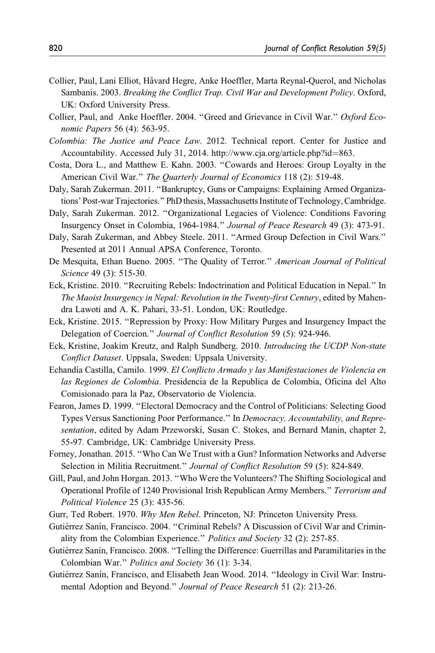- Collier, Paul, Lani Elliot, Ha˚vard Hegre, Anke Hoeffler, Marta Reynal-Querol, and Nicholas Sambanis. 2003. Breaking the Conflict Trap. Civil War and Development Policy. Oxford, UK: Oxford University Press.
- Collier, Paul, and Anke Hoeffler. 2004. ''Greed and Grievance in Civil War.'' Oxford Economic Papers 56 (4): 563-95.
- Colombia: The Justice and Peace Law. 2012. Technical report. Center for Justice and Accountability. Accessed July 31, 2014. [http://www.cja.org/article.php?id](http://www.cja.org/article.php?id=863)=[863](http://www.cja.org/article.php?id=863).
- Costa, Dora L., and Matthew E. Kahn. 2003. ''Cowards and Heroes: Group Loyalty in the American Civil War." The Quarterly Journal of Economics 118 (2): 519-48.
- Daly, Sarah Zukerman. 2011. ''Bankruptcy, Guns or Campaigns: Explaining Armed Organizations' Post-war Trajectories.'' PhD thesis, Massachusetts Institute of Technology, Cambridge.
- Daly, Sarah Zukerman. 2012. ''Organizational Legacies of Violence: Conditions Favoring Insurgency Onset in Colombia, 1964-1984.'' Journal of Peace Research 49 (3): 473-91.
- Daly, Sarah Zukerman, and Abbey Steele. 2011. ''Armed Group Defection in Civil Wars.'' Presented at 2011 Annual APSA Conference, Toronto.
- De Mesquita, Ethan Bueno. 2005. "The Quality of Terror." American Journal of Political Science 49 (3): 515-30.
- Eck, Kristine. 2010. ''Recruiting Rebels: Indoctrination and Political Education in Nepal.'' In The Maoist Insurgency in Nepal: Revolution in the Twenty-first Century, edited by Mahendra Lawoti and A. K. Pahari, 33-51. London, UK: Routledge.
- Eck, Kristine. 2015. ''Repression by Proxy: How Military Purges and Insurgency Impact the Delegation of Coercion." Journal of Conflict Resolution 59 (5): 924-946.
- Eck, Kristine, Joakim Kreutz, and Ralph Sundberg. 2010. Introducing the UCDP Non-state Conflict Dataset. Uppsala, Sweden: Uppsala University.
- Echandía Castilla, Camilo. 1999. El Conflicto Armado y las Manifestaciones de Violencia en las Regiones de Colombia. Presidencia de la Republica de Colombia, Oficina del Alto Comisionado para la Paz, Observatorio de Violencia.
- Fearon, James D. 1999. ''Electoral Democracy and the Control of Politicians: Selecting Good Types Versus Sanctioning Poor Performance.'' In Democracy, Accountability, and Representation, edited by Adam Przeworski, Susan C. Stokes, and Bernard Manin, chapter 2, 55-97. Cambridge, UK: Cambridge University Press.
- Forney, Jonathan. 2015. ''Who Can We Trust with a Gun? Information Networks and Adverse Selection in Militia Recruitment.'' Journal of Conflict Resolution 59 (5): 824-849.
- Gill, Paul, and John Horgan. 2013. ''Who Were the Volunteers? The Shifting Sociological and Operational Profile of 1240 Provisional Irish Republican Army Members." Terrorism and Political Violence 25 (3): 435-56.
- Gurr, Ted Robert. 1970. Why Men Rebel. Princeton, NJ: Princeton University Press.
- Gutiérrez Sanín, Francisco. 2004. "Criminal Rebels? A Discussion of Civil War and Criminality from the Colombian Experience." Politics and Society 32 (2): 257-85.
- Gutiérrez Sanín, Francisco. 2008. "Telling the Difference: Guerrillas and Paramilitaries in the Colombian War.'' Politics and Society 36 (1): 3-34.
- Gutiérrez Sanín, Francisco, and Elisabeth Jean Wood. 2014. "Ideology in Civil War: Instrumental Adoption and Beyond." Journal of Peace Research 51 (2): 213-26.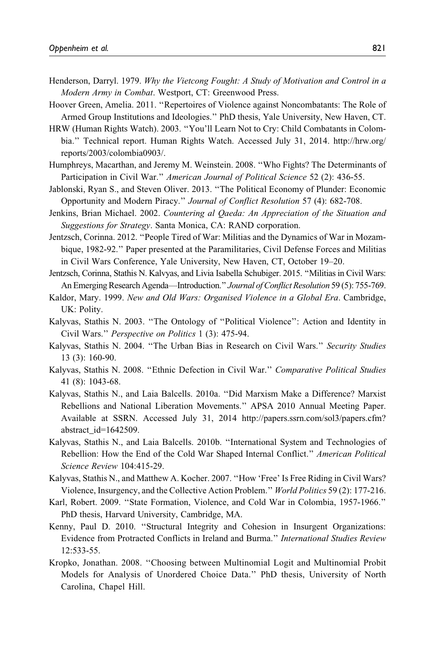- Henderson, Darryl. 1979. Why the Vietcong Fought: A Study of Motivation and Control in a Modern Army in Combat. Westport, CT: Greenwood Press.
- Hoover Green, Amelia. 2011. ''Repertoires of Violence against Noncombatants: The Role of Armed Group Institutions and Ideologies.'' PhD thesis, Yale University, New Haven, CT.
- HRW (Human Rights Watch). 2003. ''You'll Learn Not to Cry: Child Combatants in Colombia.'' Technical report. Human Rights Watch. Accessed July 31, 2014. [http://hrw.org/](http://hrw.org/reports/2003/colombia0903/) [reports/2003/colombia0903/](http://hrw.org/reports/2003/colombia0903/).
- Humphreys, Macarthan, and Jeremy M. Weinstein. 2008. ''Who Fights? The Determinants of Participation in Civil War." American Journal of Political Science 52 (2): 436-55.
- Jablonski, Ryan S., and Steven Oliver. 2013. ''The Political Economy of Plunder: Economic Opportunity and Modern Piracy.'' Journal of Conflict Resolution 57 (4): 682-708.
- Jenkins, Brian Michael. 2002. Countering al Qaeda: An Appreciation of the Situation and Suggestions for Strategy. Santa Monica, CA: RAND corporation.
- Jentzsch, Corinna. 2012. ''People Tired of War: Militias and the Dynamics of War in Mozambique, 1982-92.'' Paper presented at the Paramilitaries, Civil Defense Forces and Militias in Civil Wars Conference, Yale University, New Haven, CT, October 19–20.
- Jentzsch, Corinna, Stathis N. Kalvyas, and Livia Isabella Schubiger. 2015. ''Militias in Civil Wars: An Emerging Research Agenda—Introduction." Journal of Conflict Resolution 59 (5): 755-769.
- Kaldor, Mary. 1999. New and Old Wars: Organised Violence in a Global Era. Cambridge, UK: Polity.
- Kalyvas, Stathis N. 2003. ''The Ontology of ''Political Violence'': Action and Identity in Civil Wars.'' Perspective on Politics 1 (3): 475-94.
- Kalyvas, Stathis N. 2004. ''The Urban Bias in Research on Civil Wars.'' Security Studies 13 (3): 160-90.
- Kalyvas, Stathis N. 2008. "Ethnic Defection in Civil War." Comparative Political Studies 41 (8): 1043-68.
- Kalyvas, Stathis N., and Laia Balcells. 2010a. ''Did Marxism Make a Difference? Marxist Rebellions and National Liberation Movements.'' APSA 2010 Annual Meeting Paper. Available at SSRN. Accessed July 31, 2014 [http://papers.ssrn.com/sol3/papers.cfm?](http://papers.ssrn.com/sol3/papers.cfm?abstract_id=1642509) [abstract\\_id=1642509.](http://papers.ssrn.com/sol3/papers.cfm?abstract_id=1642509)
- Kalyvas, Stathis N., and Laia Balcells. 2010b. ''International System and Technologies of Rebellion: How the End of the Cold War Shaped Internal Conflict.'' American Political Science Review 104:415-29.
- Kalyvas, Stathis N., and Matthew A. Kocher. 2007. ''How 'Free' Is Free Riding in Civil Wars? Violence, Insurgency, and the Collective Action Problem.'' World Politics 59 (2): 177-216.
- Karl, Robert. 2009. ''State Formation, Violence, and Cold War in Colombia, 1957-1966.'' PhD thesis, Harvard University, Cambridge, MA.
- Kenny, Paul D. 2010. ''Structural Integrity and Cohesion in Insurgent Organizations: Evidence from Protracted Conflicts in Ireland and Burma.'' International Studies Review 12:533-55.
- Kropko, Jonathan. 2008. ''Choosing between Multinomial Logit and Multinomial Probit Models for Analysis of Unordered Choice Data.'' PhD thesis, University of North Carolina, Chapel Hill.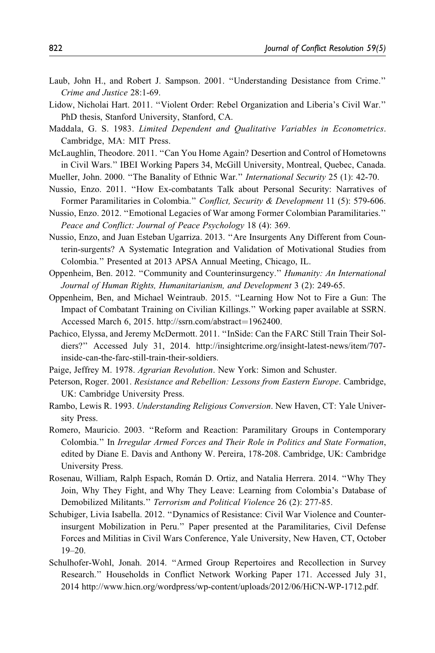- Laub, John H., and Robert J. Sampson. 2001. ''Understanding Desistance from Crime.'' Crime and Justice 28:1-69.
- Lidow, Nicholai Hart. 2011. ''Violent Order: Rebel Organization and Liberia's Civil War.'' PhD thesis, Stanford University, Stanford, CA.
- Maddala, G. S. 1983. Limited Dependent and Qualitative Variables in Econometrics. Cambridge, MA: MIT Press.
- McLaughlin, Theodore. 2011. ''Can You Home Again? Desertion and Control of Hometowns in Civil Wars.'' IBEI Working Papers 34, McGill University, Montreal, Quebec, Canada.
- Mueller, John. 2000. ''The Banality of Ethnic War.'' International Security 25 (1): 42-70.
- Nussio, Enzo. 2011. ''How Ex-combatants Talk about Personal Security: Narratives of Former Paramilitaries in Colombia." Conflict, Security & Development 11 (5): 579-606.
- Nussio, Enzo. 2012. ''Emotional Legacies of War among Former Colombian Paramilitaries.'' Peace and Conflict: Journal of Peace Psychology 18 (4): 369.
- Nussio, Enzo, and Juan Esteban Ugarriza. 2013. ''Are Insurgents Any Different from Counterin-surgents? A Systematic Integration and Validation of Motivational Studies from Colombia.'' Presented at 2013 APSA Annual Meeting, Chicago, IL.
- Oppenheim, Ben. 2012. ''Community and Counterinsurgency.'' Humanity: An International Journal of Human Rights, Humanitarianism, and Development 3 (2): 249-65.
- Oppenheim, Ben, and Michael Weintraub. 2015. ''Learning How Not to Fire a Gun: The Impact of Combatant Training on Civilian Killings.'' Working paper available at SSRN. Accessed March 6, 2015. [http://ssrn.com/abstract](http://ssrn.com/abstract=1962400)=[1962400](http://ssrn.com/abstract=1962400).
- Pachico, Elyssa, and Jeremy McDermott. 2011. ''InSide: Can the FARC Still Train Their Soldiers?'' Accessed July 31, 2014. [http://insightcrime.org/insight-latest-news/item/707](http://insightcrime.org/insight-latest-news/item/707-inside-can-the-farc-still-train-their-soldiers) [inside-can-the-farc-still-train-their-soldiers.](http://insightcrime.org/insight-latest-news/item/707-inside-can-the-farc-still-train-their-soldiers)
- Paige, Jeffrey M. 1978. Agrarian Revolution. New York: Simon and Schuster.
- Peterson, Roger. 2001. Resistance and Rebellion: Lessons from Eastern Europe. Cambridge, UK: Cambridge University Press.
- Rambo, Lewis R. 1993. Understanding Religious Conversion. New Haven, CT: Yale University Press.
- Romero, Mauricio. 2003. ''Reform and Reaction: Paramilitary Groups in Contemporary Colombia.'' In Irregular Armed Forces and Their Role in Politics and State Formation, edited by Diane E. Davis and Anthony W. Pereira, 178-208. Cambridge, UK: Cambridge University Press.
- Rosenau, William, Ralph Espach, Román D. Ortiz, and Natalia Herrera. 2014. "Why They Join, Why They Fight, and Why They Leave: Learning from Colombia's Database of Demobilized Militants.'' Terrorism and Political Violence 26 (2): 277-85.
- Schubiger, Livia Isabella. 2012. ''Dynamics of Resistance: Civil War Violence and Counterinsurgent Mobilization in Peru.'' Paper presented at the Paramilitaries, Civil Defense Forces and Militias in Civil Wars Conference, Yale University, New Haven, CT, October 19–20.
- Schulhofer-Wohl, Jonah. 2014. ''Armed Group Repertoires and Recollection in Survey Research.'' Households in Conflict Network Working Paper 171. Accessed July 31, 2014 [http://www.hicn.org/wordpress/wp-content/uploads/2012/06/HiCN-WP-1712.pdf.](http://www.hicn.org/wordpress/wp-content/uploads/2012/06/HiCN-WP-1712.pdf)